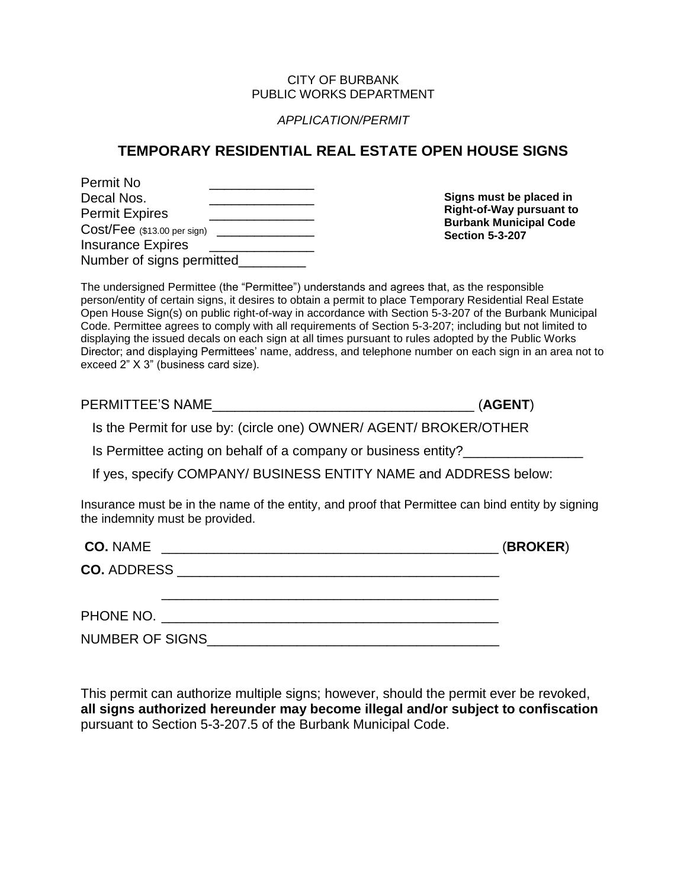## CITY OF BURBANK PUBLIC WORKS DEPARTMENT

## *APPLICATION/PERMIT*

## **TEMPORARY RESIDENTIAL REAL ESTATE OPEN HOUSE SIGNS**

| Permit No                     |  |
|-------------------------------|--|
| Decal Nos.                    |  |
| <b>Permit Expires</b>         |  |
| $Cost/Fee$ (\$13.00 per sign) |  |
| <b>Insurance Expires</b>      |  |
| Number of signs permitted     |  |

**Signs must be placed in Right-of-Way pursuant to Burbank Municipal Code Section 5-3-207**

The undersigned Permittee (the "Permittee") understands and agrees that, as the responsible person/entity of certain signs, it desires to obtain a permit to place Temporary Residential Real Estate Open House Sign(s) on public right-of-way in accordance with Section 5-3-207 of the Burbank Municipal Code. Permittee agrees to comply with all requirements of Section 5-3-207; including but not limited to displaying the issued decals on each sign at all times pursuant to rules adopted by the Public Works Director; and displaying Permittees' name, address, and telephone number on each sign in an area not to exceed 2" X 3" (business card size).

PERMITTEE'S NAME\_\_\_\_\_\_\_\_\_\_\_\_\_\_\_\_\_\_\_\_\_\_\_\_\_\_\_\_\_\_\_\_\_\_\_ (**AGENT**)

Is the Permit for use by: (circle one) OWNER/ AGENT/ BROKER/OTHER

Is Permittee acting on behalf of a company or business entity?

If yes, specify COMPANY/ BUSINESS ENTITY NAME and ADDRESS below:

Insurance must be in the name of the entity, and proof that Permittee can bind entity by signing the indemnity must be provided.

| <b>CO. NAME</b><br><u> 1989 - Johann Harry Harry Harry Harry Harry Harry Harry Harry Harry Harry Harry Harry Harry Harry Harry Harry</u> | (BROKER) |
|------------------------------------------------------------------------------------------------------------------------------------------|----------|
|                                                                                                                                          |          |
|                                                                                                                                          |          |
| NUMBER OF SIGNS                                                                                                                          |          |

This permit can authorize multiple signs; however, should the permit ever be revoked, **all signs authorized hereunder may become illegal and/or subject to confiscation** pursuant to Section 5-3-207.5 of the Burbank Municipal Code.